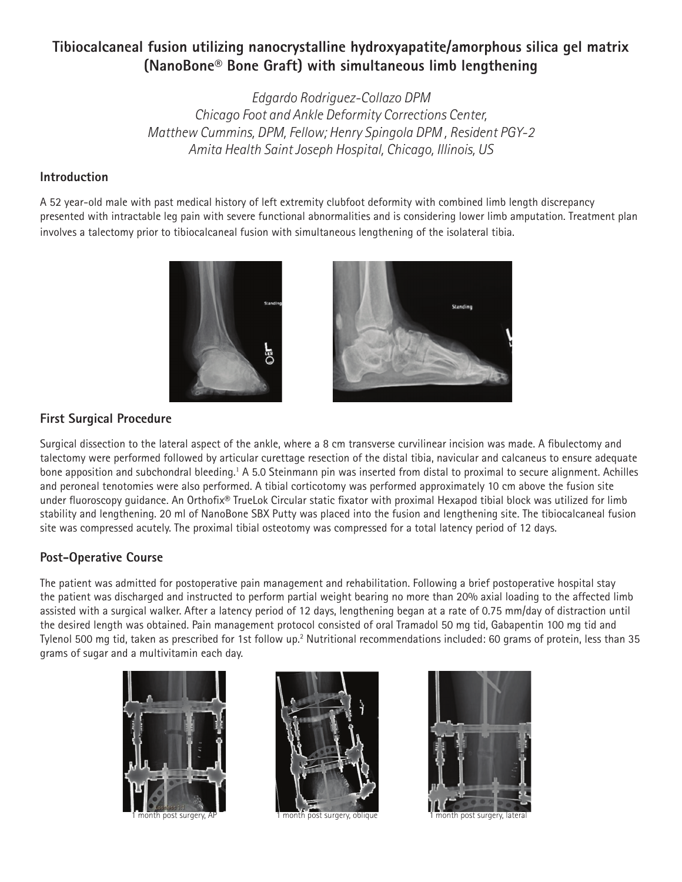# **Tibiocalcaneal fusion utilizing nanocrystalline hydroxyapatite/amorphous silica gel matrix (NanoBone® Bone Graft) with simultaneous limb lengthening**

*Edgardo Rodriguez-Collazo DPM Chicago Foot and Ankle Deformity Corrections Center, Matthew Cummins, DPM, Fellow; Henry Spingola DPM , Resident PGY-2 Amita Health Saint Joseph Hospital, Chicago, Illinois, US*

### **Introduction**

A 52 year-old male with past medical history of left extremity clubfoot deformity with combined limb length discrepancy presented with intractable leg pain with severe functional abnormalities and is considering lower limb amputation. Treatment plan involves a talectomy prior to tibiocalcaneal fusion with simultaneous lengthening of the isolateral tibia.



### **First Surgical Procedure**

Surgical dissection to the lateral aspect of the ankle, where a 8 cm transverse curvilinear incision was made. A fibulectomy and talectomy were performed followed by articular curettage resection of the distal tibia, navicular and calcaneus to ensure adequate bone apposition and subchondral bleeding.1 A 5.0 Steinmann pin was inserted from distal to proximal to secure alignment. Achilles and peroneal tenotomies were also performed. A tibial corticotomy was performed approximately 10 cm above the fusion site under fluoroscopy guidance. An Orthofix® TrueLok Circular static fixator with proximal Hexapod tibial block was utilized for limb stability and lengthening. 20 ml of NanoBone SBX Putty was placed into the fusion and lengthening site. The tibiocalcaneal fusion site was compressed acutely. The proximal tibial osteotomy was compressed for a total latency period of 12 days.

## **Post-Operative Course**

The patient was admitted for postoperative pain management and rehabilitation. Following a brief postoperative hospital stay the patient was discharged and instructed to perform partial weight bearing no more than 20% axial loading to the affected limb assisted with a surgical walker. After a latency period of 12 days, lengthening began at a rate of 0.75 mm/day of distraction until the desired length was obtained. Pain management protocol consisted of oral Tramadol 50 mg tid, Gabapentin 100 mg tid and Tylenol 500 mg tid, taken as prescribed for 1st follow up.<sup>2</sup> Nutritional recommendations included: 60 grams of protein, less than 35 grams of sugar and a multivitamin each day.







1 month post surgery, AP 1 month post surgery, oblique 1 month post surgery, lateral